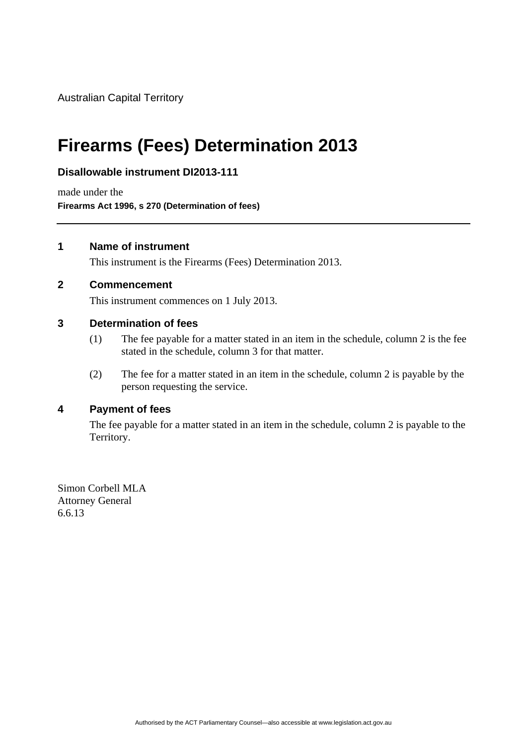Australian Capital Territory

# **Firearms (Fees) Determination 2013**

## **Disallowable instrument DI2013-111**

made under the **Firearms Act 1996, s 270 (Determination of fees)** 

#### **1 Name of instrument**

This instrument is the Firearms (Fees) Determination 2013.

#### **2 Commencement**

This instrument commences on 1 July 2013.

#### **3 Determination of fees**

- (1) The fee payable for a matter stated in an item in the schedule, column 2 is the fee stated in the schedule, column 3 for that matter.
- (2) The fee for a matter stated in an item in the schedule, column 2 is payable by the person requesting the service.

## **4 Payment of fees**

The fee payable for a matter stated in an item in the schedule, column 2 is payable to the Territory.

Simon Corbell MLA Attorney General 6.6.13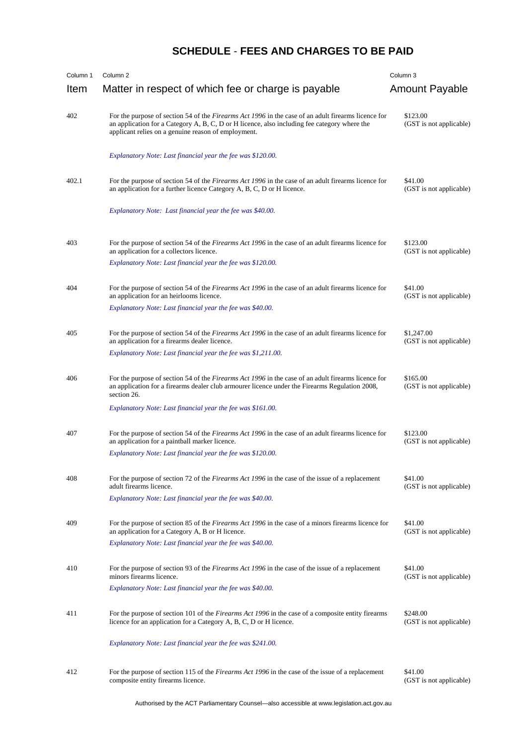# **SCHEDULE** - **FEES AND CHARGES TO BE PAID**

| Column 1 | Column <sub>2</sub>                                                                                                                                                                                                                                               | Column <sub>3</sub>                   |
|----------|-------------------------------------------------------------------------------------------------------------------------------------------------------------------------------------------------------------------------------------------------------------------|---------------------------------------|
| Item     | Matter in respect of which fee or charge is payable                                                                                                                                                                                                               | <b>Amount Payable</b>                 |
| 402      | For the purpose of section 54 of the <i>Firearms Act 1996</i> in the case of an adult firearms licence for<br>an application for a Category A, B, C, D or H licence, also including fee category where the<br>applicant relies on a genuine reason of employment. | \$123.00<br>(GST is not applicable)   |
|          | Explanatory Note: Last financial year the fee was \$120.00.                                                                                                                                                                                                       |                                       |
| 402.1    | For the purpose of section 54 of the <i>Firearms Act 1996</i> in the case of an adult firearms licence for<br>an application for a further licence Category A, B, C, D or H licence.                                                                              | \$41.00<br>(GST is not applicable)    |
|          | Explanatory Note: Last financial year the fee was \$40.00.                                                                                                                                                                                                        |                                       |
| 403      | For the purpose of section 54 of the Firearms Act 1996 in the case of an adult firearms licence for<br>an application for a collectors licence.                                                                                                                   | \$123.00<br>(GST is not applicable)   |
|          | Explanatory Note: Last financial year the fee was \$120.00.                                                                                                                                                                                                       |                                       |
| 404      | For the purpose of section 54 of the Firearms Act 1996 in the case of an adult firearms licence for<br>an application for an heirlooms licence.                                                                                                                   | \$41.00<br>(GST is not applicable)    |
|          | Explanatory Note: Last financial year the fee was \$40.00.                                                                                                                                                                                                        |                                       |
| 405      | For the purpose of section 54 of the Firearms Act 1996 in the case of an adult firearms licence for<br>an application for a firearms dealer licence.                                                                                                              | \$1,247.00<br>(GST is not applicable) |
|          | Explanatory Note: Last financial year the fee was \$1,211.00.                                                                                                                                                                                                     |                                       |
| 406      | For the purpose of section 54 of the <i>Firearms Act 1996</i> in the case of an adult firearms licence for<br>an application for a firearms dealer club armourer licence under the Firearms Regulation 2008,<br>section 26.                                       | \$165.00<br>(GST is not applicable)   |
|          | Explanatory Note: Last financial year the fee was \$161.00.                                                                                                                                                                                                       |                                       |
|          |                                                                                                                                                                                                                                                                   |                                       |
| 407      | For the purpose of section 54 of the Firearms Act 1996 in the case of an adult firearms licence for<br>an application for a paintball marker licence.                                                                                                             | \$123.00<br>(GST is not applicable)   |
|          | Explanatory Note: Last financial year the fee was \$120.00.                                                                                                                                                                                                       |                                       |
| 408      | For the purpose of section 72 of the <i>Firearms Act 1996</i> in the case of the issue of a replacement<br>adult firearms licence.                                                                                                                                | \$41.00<br>(GST is not applicable)    |
|          | Explanatory Note: Last financial year the fee was \$40.00.                                                                                                                                                                                                        |                                       |
| 409      | For the purpose of section 85 of the <i>Firearms Act 1996</i> in the case of a minors firearms licence for<br>an application for a Category A, B or H licence.                                                                                                    | \$41.00<br>(GST is not applicable)    |
|          | Explanatory Note: Last financial year the fee was \$40.00.                                                                                                                                                                                                        |                                       |
| 410      | For the purpose of section 93 of the <i>Firearms Act 1996</i> in the case of the issue of a replacement<br>minors firearms licence.                                                                                                                               | \$41.00<br>(GST is not applicable)    |
|          | Explanatory Note: Last financial year the fee was \$40.00.                                                                                                                                                                                                        |                                       |
| 411      | For the purpose of section 101 of the <i>Firearms Act 1996</i> in the case of a composite entity firearms<br>licence for an application for a Category A, B, C, D or H licence.                                                                                   | \$248.00<br>(GST is not applicable)   |
|          | Explanatory Note: Last financial year the fee was \$241.00.                                                                                                                                                                                                       |                                       |
| 412      | For the purpose of section 115 of the <i>Firearms Act 1996</i> in the case of the issue of a replacement<br>composite entity firearms licence.                                                                                                                    | \$41.00<br>(GST is not applicable)    |

Authorised by the ACT Parliamentary Counsel—also accessible at www.legislation.act.gov.au